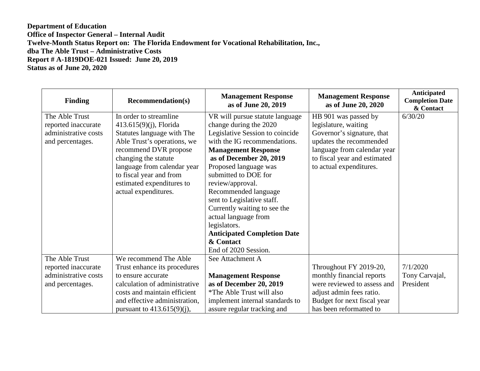## **Department of Education Office of Inspector General – Internal Audit Twelve-Month Status Report on: The Florida Endowment for Vocational Rehabilitation, Inc., dba The Able Trust – Administrative Costs Report # A-1819DOE-021 Issued: June 20, 2019 Status as of June 20, 2020**

| <b>Finding</b>       | <b>Recommendation(s)</b>      | <b>Management Response</b><br>as of June 20, 2019 | <b>Management Response</b><br>as of June 20, 2020 | Anticipated<br><b>Completion Date</b><br>& Contact |
|----------------------|-------------------------------|---------------------------------------------------|---------------------------------------------------|----------------------------------------------------|
| The Able Trust       | In order to streamline        | VR will pursue statute language                   | HB 901 was passed by                              | 6/30/20                                            |
| reported inaccurate  | $413.615(9)(i)$ , Florida     | change during the 2020                            | legislature, waiting                              |                                                    |
| administrative costs | Statutes language with The    | Legislative Session to coincide                   | Governor's signature, that                        |                                                    |
| and percentages.     | Able Trust's operations, we   | with the IG recommendations.                      | updates the recommended                           |                                                    |
|                      | recommend DVR propose         | <b>Management Response</b>                        | language from calendar year                       |                                                    |
|                      | changing the statute          | as of December 20, 2019                           | to fiscal year and estimated                      |                                                    |
|                      | language from calendar year   | Proposed language was                             | to actual expenditures.                           |                                                    |
|                      | to fiscal year and from       | submitted to DOE for                              |                                                   |                                                    |
|                      | estimated expenditures to     | review/approval.                                  |                                                   |                                                    |
|                      | actual expenditures.          | Recommended language                              |                                                   |                                                    |
|                      |                               | sent to Legislative staff.                        |                                                   |                                                    |
|                      |                               | Currently waiting to see the                      |                                                   |                                                    |
|                      |                               | actual language from                              |                                                   |                                                    |
|                      |                               | legislators.                                      |                                                   |                                                    |
|                      |                               | <b>Anticipated Completion Date</b>                |                                                   |                                                    |
|                      |                               | & Contact                                         |                                                   |                                                    |
|                      |                               | End of 2020 Session.                              |                                                   |                                                    |
| The Able Trust       | We recommend The Able         | See Attachment A                                  |                                                   |                                                    |
| reported inaccurate  | Trust enhance its procedures  |                                                   | Throughout FY 2019-20,                            | 7/1/2020                                           |
| administrative costs | to ensure accurate            | <b>Management Response</b>                        | monthly financial reports                         | Tony Carvajal,                                     |
| and percentages.     | calculation of administrative | as of December 20, 2019                           | were reviewed to assess and                       | President                                          |
|                      | costs and maintain efficient  | *The Able Trust will also                         | adjust admin fees ratio.                          |                                                    |
|                      | and effective administration, | implement internal standards to                   | Budget for next fiscal year                       |                                                    |
|                      | pursuant to $413.615(9)(i)$ , | assure regular tracking and                       | has been reformatted to                           |                                                    |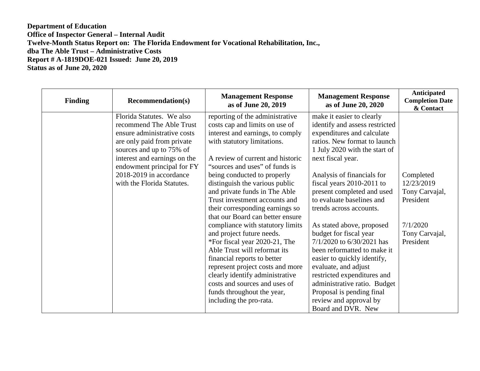## **Department of Education Office of Inspector General – Internal Audit Twelve-Month Status Report on: The Florida Endowment for Vocational Rehabilitation, Inc., dba The Able Trust – Administrative Costs Report # A-1819DOE-021 Issued: June 20, 2019 Status as of June 20, 2020**

| <b>Finding</b> | <b>Recommendation(s)</b>                                                                                                                                                                                                                                              | <b>Management Response</b><br>as of June 20, 2019                                                                                                                                                                                                                                                                              | <b>Management Response</b><br>as of June 20, 2020                                                                                                                                                                                                                                                                  | Anticipated<br><b>Completion Date</b><br>& Contact |
|----------------|-----------------------------------------------------------------------------------------------------------------------------------------------------------------------------------------------------------------------------------------------------------------------|--------------------------------------------------------------------------------------------------------------------------------------------------------------------------------------------------------------------------------------------------------------------------------------------------------------------------------|--------------------------------------------------------------------------------------------------------------------------------------------------------------------------------------------------------------------------------------------------------------------------------------------------------------------|----------------------------------------------------|
|                | Florida Statutes. We also<br>recommend The Able Trust<br>ensure administrative costs<br>are only paid from private<br>sources and up to 75% of<br>interest and earnings on the<br>endowment principal for FY<br>2018-2019 in accordance<br>with the Florida Statutes. | reporting of the administrative<br>costs cap and limits on use of<br>interest and earnings, to comply<br>with statutory limitations.<br>A review of current and historic<br>"sources and uses" of funds is<br>being conducted to properly<br>distinguish the various public                                                    | make it easier to clearly<br>identify and assess restricted<br>expenditures and calculate<br>ratios. New format to launch<br>1 July 2020 with the start of<br>next fiscal year.<br>Analysis of financials for<br>fiscal years 2010-2011 to                                                                         | Completed<br>12/23/2019                            |
|                |                                                                                                                                                                                                                                                                       | and private funds in The Able<br>Trust investment accounts and<br>their corresponding earnings so<br>that our Board can better ensure                                                                                                                                                                                          | present completed and used<br>to evaluate baselines and<br>trends across accounts.                                                                                                                                                                                                                                 | Tony Carvajal,<br>President                        |
|                |                                                                                                                                                                                                                                                                       | compliance with statutory limits<br>and project future needs.<br>*For fiscal year 2020-21, The<br>Able Trust will reformat its<br>financial reports to better<br>represent project costs and more<br>clearly identify administrative<br>costs and sources and uses of<br>funds throughout the year,<br>including the pro-rata. | As stated above, proposed<br>budget for fiscal year<br>7/1/2020 to 6/30/2021 has<br>been reformatted to make it<br>easier to quickly identify,<br>evaluate, and adjust<br>restricted expenditures and<br>administrative ratio. Budget<br>Proposal is pending final<br>review and approval by<br>Board and DVR. New | 7/1/2020<br>Tony Carvajal,<br>President            |